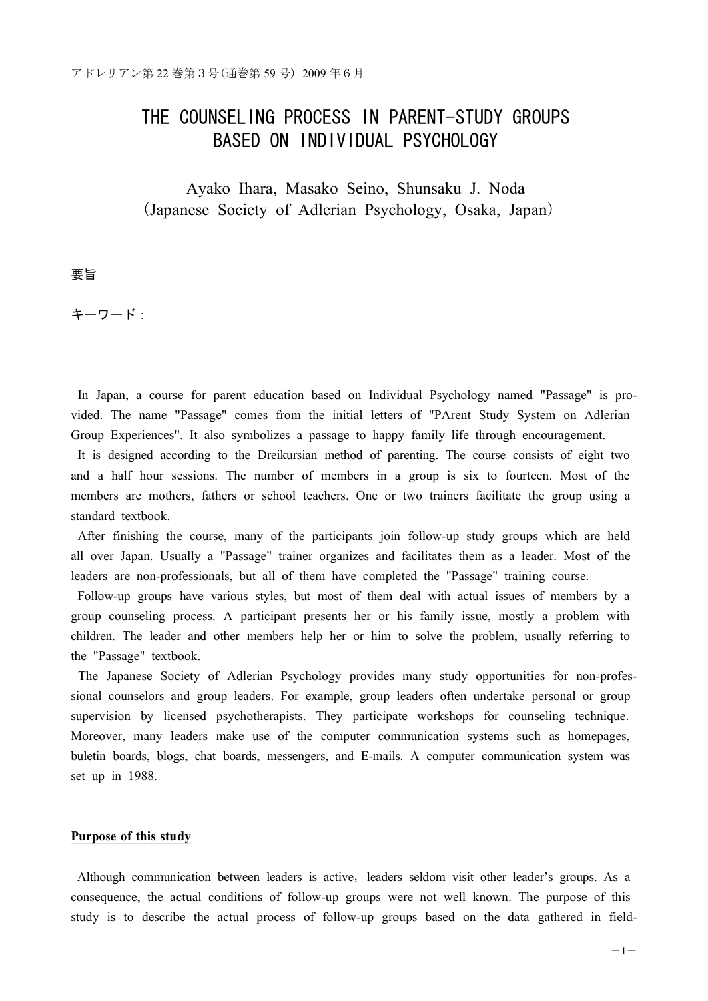# THE COUNSELING PROCESS IN PARENT-STUDY GROUPS BASED ON INDIVIDUAL PSYCHOLOGY

Ayako Ihara, Masako Seino, Shunsaku J. Noda (Japanese Society of Adlerian Psychology, Osaka, Japan)

要旨

キーワード:

In Japan, a course for parent education based on Individual Psychology named "Passage" is provided. The name "Passage" comes from the initial letters of "PArent Study System on Adlerian Group Experiences". It also symbolizes a passage to happy family life through encouragement.

It is designed according to the Dreikursian method of parenting. The course consists of eight two and a half hour sessions. The number of members in a group is six to fourteen. Most of the members are mothers, fathers or school teachers. One or two trainers facilitate the group using a standard textbook.

After finishing the course, many of the participants join follow-up study groups which are held all over Japan. Usually a "Passage" trainer organizes and facilitates them as a leader. Most of the leaders are non-professionals, but all of them have completed the "Passage" training course.

Follow-up groups have various styles, but most of them deal with actual issues of members by a group counseling process. A participant presents her or his family issue, mostly a problem with children. The leader and other members help her or him to solve the problem, usually referring to the "Passage" textbook.

The Japanese Society of Adlerian Psychology provides many study opportunities for non-professional counselors and group leaders. For example, group leaders often undertake personal or group supervision by licensed psychotherapists. They participate workshops for counseling technique. Moreover, many leaders make use of the computer communication systems such as homepages, buletin boards, blogs, chat boards, messengers, and E-mails. A computer communication system was set up in 1988.

#### **Purpose of this study**

Although communication between leaders is active, leaders seldom visit other leader's groups. As a consequence, the actual conditions of follow-up groups were not well known. The purpose of this study is to describe the actual process of follow-up groups based on the data gathered in field-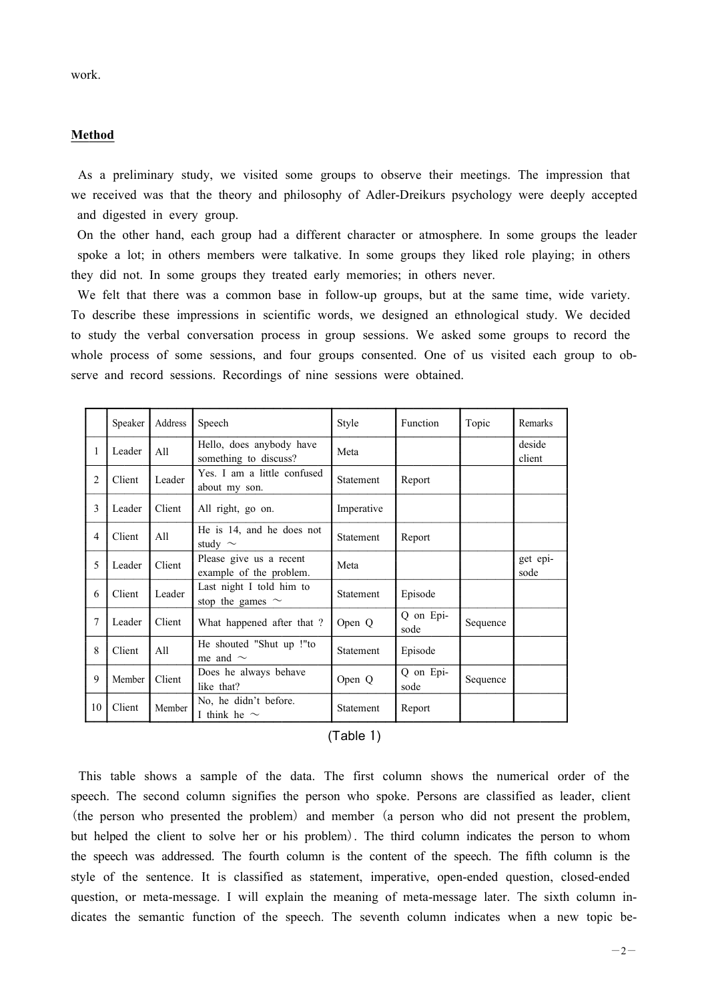# **Method**

As a preliminary study, we visited some groups to observe their meetings. The impression that we received was that the theory and philosophy of Adler-Dreikurs psychology were deeply accepted and digested in every group.

On the other hand, each group had a different character or atmosphere. In some groups the leader spoke a lot; in others members were talkative. In some groups they liked role playing; in others they did not. In some groups they treated early memories; in others never.

We felt that there was a common base in follow-up groups, but at the same time, wide variety. To describe these impressions in scientific words, we designed an ethnological study. We decided to study the verbal conversation process in group sessions. We asked some groups to record the whole process of some sessions, and four groups consented. One of us visited each group to observe and record sessions. Recordings of nine sessions were obtained.

|                | Speaker | Address | Speech                                             | Style      | Function          | Topic    | Remarks          |
|----------------|---------|---------|----------------------------------------------------|------------|-------------------|----------|------------------|
| 1              | Leader  | All     | Hello, does anybody have<br>something to discuss?  | Meta       |                   |          | deside<br>client |
| $\overline{2}$ | Client  | Leader  | Yes. I am a little confused<br>about my son.       | Statement  | Report            |          |                  |
| 3              | Leader  | Client  | All right, go on.                                  | Imperative |                   |          |                  |
| $\overline{4}$ | Client  | All     | He is 14, and he does not<br>study $\sim$          | Statement  | Report            |          |                  |
| 5              | Leader  | Client  | Please give us a recent<br>example of the problem. | Meta       |                   |          | get epi-<br>sode |
| 6              | Client  | Leader  | Last night I told him to<br>stop the games $\sim$  | Statement  | Episode           |          |                  |
| 7              | Leader  | Client  | What happened after that?                          | Open Q     | Q on Epi-<br>sode | Sequence |                  |
| 8              | Client  | All     | He shouted "Shut up !"to<br>me and $\sim$          | Statement  | Episode           |          |                  |
| 9              | Member  | Client  | Does he always behave<br>like that?                | Open Q     | Q on Epi-<br>sode | Sequence |                  |
| 10             | Client  | Member  | No, he didn't before.<br>I think he $\sim$         | Statement  | Report            |          |                  |

| (Table 1) |  |
|-----------|--|
|           |  |

This table shows a sample of the data. The first column shows the numerical order of the speech. The second column signifies the person who spoke. Persons are classified as leader, client (the person who presented the problem) and member (a person who did not present the problem, but helped the client to solve her or his problem). The third column indicates the person to whom the speech was addressed. The fourth column is the content of the speech. The fifth column is the style of the sentence. It is classified as statement, imperative, open-ended question, closed-ended question, or meta-message. I will explain the meaning of meta-message later. The sixth column indicates the semantic function of the speech. The seventh column indicates when a new topic be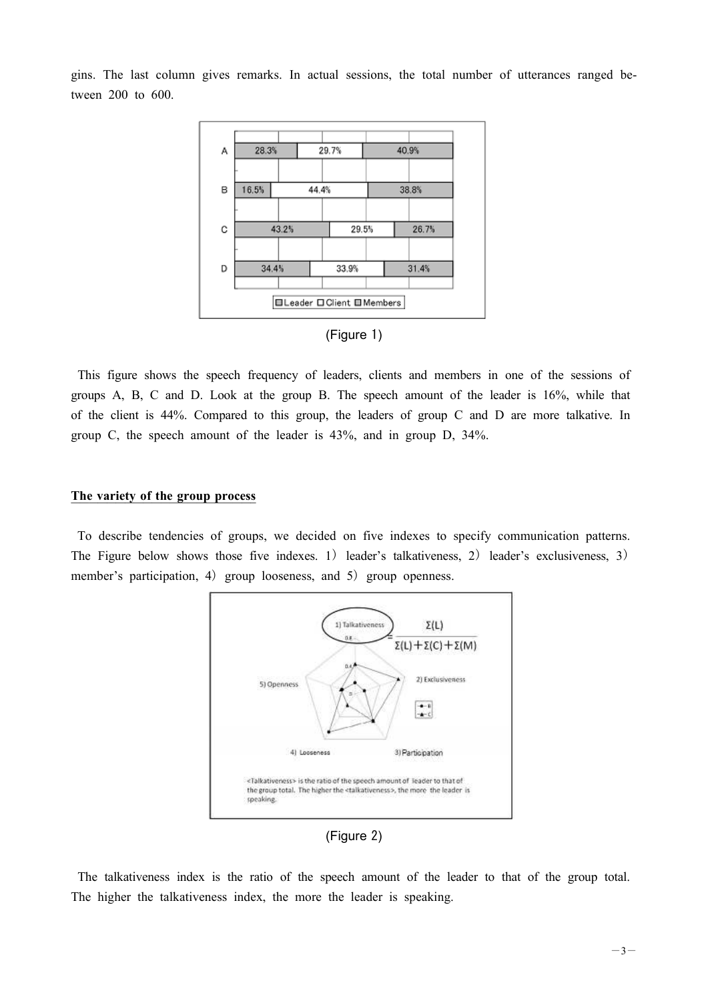gins. The last column gives remarks. In actual sessions, the total number of utterances ranged between 200 to 600.



# (Figure 1)

This figure shows the speech frequency of leaders, clients and members in one of the sessions of groups A, B, C and D. Look at the group B. The speech amount of the leader is 16%, while that of the client is 44%. Compared to this group, the leaders of group C and D are more talkative. In group C, the speech amount of the leader is 43%, and in group D, 34%.

#### **The variety of the group process**

To describe tendencies of groups, we decided on five indexes to specify communication patterns. The Figure below shows those five indexes. 1) leader's talkativeness, 2) leader's exclusiveness, 3) member's participation, 4) group looseness, and 5) group openness.



(Figure 2)

The talkativeness index is the ratio of the speech amount of the leader to that of the group total. The higher the talkativeness index, the more the leader is speaking.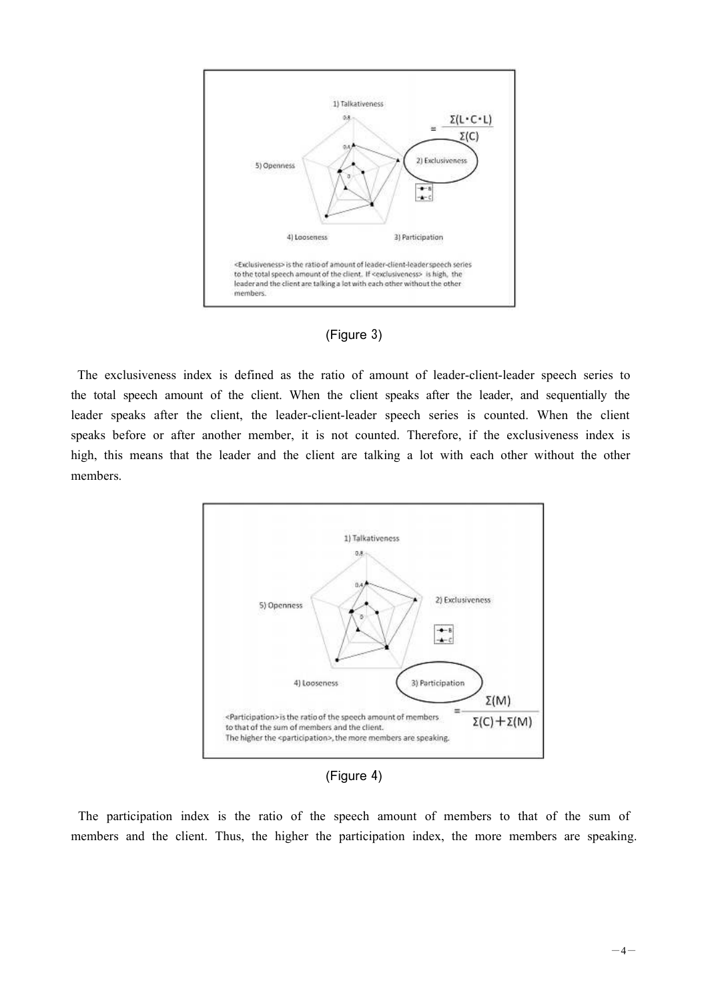



The exclusiveness index is defined as the ratio of amount of leader-client-leader speech series to the total speech amount of the client. When the client speaks after the leader, and sequentially the leader speaks after the client, the leader-client-leader speech series is counted. When the client speaks before or after another member, it is not counted. Therefore, if the exclusiveness index is high, this means that the leader and the client are talking a lot with each other without the other members.



(Figure 4)

The participation index is the ratio of the speech amount of members to that of the sum of members and the client. Thus, the higher the participation index, the more members are speaking.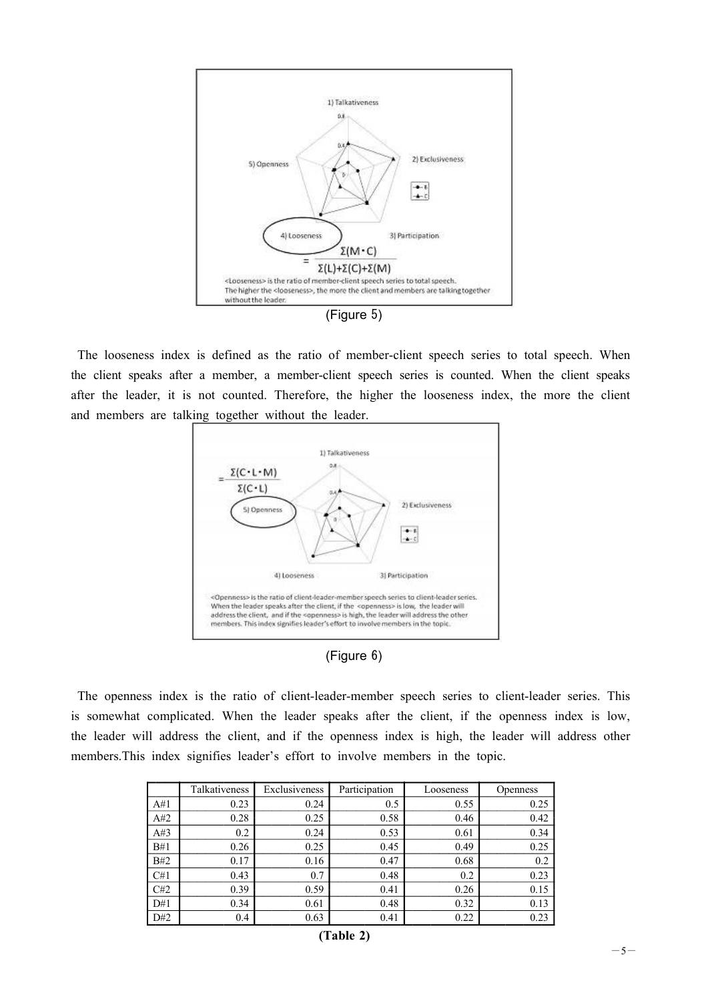

The looseness index is defined as the ratio of member-client speech series to total speech. When the client speaks after a member, a member-client speech series is counted. When the client speaks after the leader, it is not counted. Therefore, the higher the looseness index, the more the client and members are talking together without the leader.



| (Figure 6) |  |
|------------|--|
|------------|--|

The openness index is the ratio of client-leader-member speech series to client-leader series. This is somewhat complicated. When the leader speaks after the client, if the openness index is low, the leader will address the client, and if the openness index is high, the leader will address other members.This index signifies leader's effort to involve members in the topic.

|     | Talkativeness | Exclusiveness | Participation | Looseness | <b>Openness</b> |
|-----|---------------|---------------|---------------|-----------|-----------------|
| A#1 | 0.23          | 0.24          | 0.5           | 0.55      | 0.25            |
| A#2 | 0.28          | 0.25          | 0.58          | 0.46      | 0.42            |
| A#3 | 0.2           | 0.24          | 0.53          | 0.61      | 0.34            |
| B#1 | 0.26          | 0.25          | 0.45          | 0.49      | 0.25            |
| B#2 | 0.17          | 0.16          | 0.47          | 0.68      | 0.2             |
| C#1 | 0.43          | 0.7           | 0.48          | 0.2       | 0.23            |
| C#2 | 0.39          | 0.59          | 0.41          | 0.26      | 0.15            |
| D#1 | 0.34          | 0.61          | 0.48          | 0.32      | 0.13            |
| D#2 | 0.4           | 0.63          | 0.41          | 0.22      | 0.23            |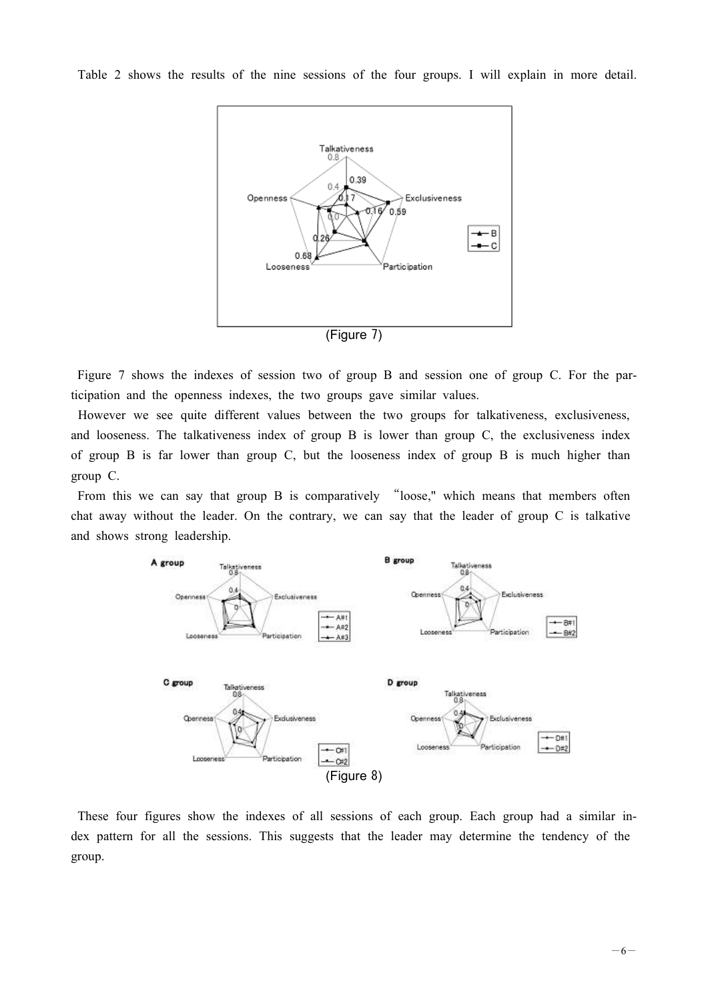Table 2 shows the results of the nine sessions of the four groups. I will explain in more detail.



Figure 7 shows the indexes of session two of group B and session one of group C. For the participation and the openness indexes, the two groups gave similar values.

However we see quite different values between the two groups for talkativeness, exclusiveness, and looseness. The talkativeness index of group B is lower than group C, the exclusiveness index of group B is far lower than group C, but the looseness index of group B is much higher than group C.

From this we can say that group B is comparatively "loose," which means that members often chat away without the leader. On the contrary, we can say that the leader of group C is talkative and shows strong leadership.



These four figures show the indexes of all sessions of each group. Each group had a similar index pattern for all the sessions. This suggests that the leader may determine the tendency of the group.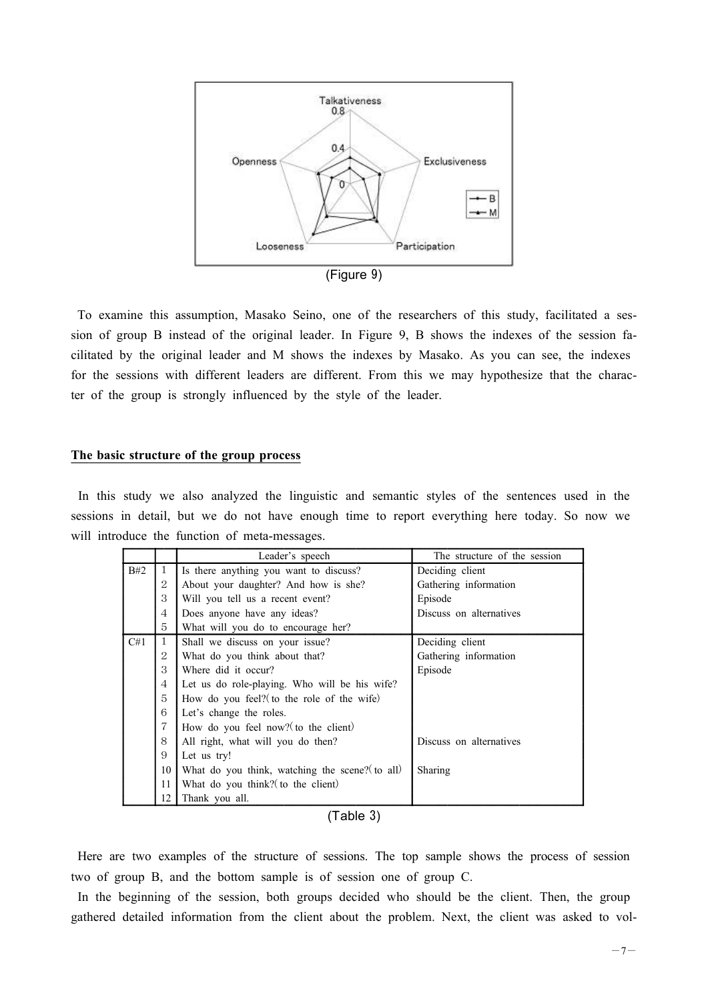

To examine this assumption, Masako Seino, one of the researchers of this study, facilitated a session of group B instead of the original leader. In Figure 9, B shows the indexes of the session facilitated by the original leader and M shows the indexes by Masako. As you can see, the indexes for the sessions with different leaders are different. From this we may hypothesize that the character of the group is strongly influenced by the style of the leader.

# **The basic structure of the group process**

In this study we also analyzed the linguistic and semantic styles of the sentences used in the sessions in detail, but we do not have enough time to report everything here today. So now we will introduce the function of meta-messages.

|     |                | Leader's speech                                 | The structure of the session |  |
|-----|----------------|-------------------------------------------------|------------------------------|--|
| B#2 | $\mathbf{1}$   | Is there anything you want to discuss?          | Deciding client              |  |
|     | 2              | About your daughter? And how is she?            | Gathering information        |  |
|     | 3              | Will you tell us a recent event?                | Episode                      |  |
|     | $\overline{4}$ | Does anyone have any ideas?                     | Discuss on alternatives      |  |
|     | 5              | What will you do to encourage her?              |                              |  |
| C#1 | $\mathbf{1}$   | Shall we discuss on your issue?                 | Deciding client              |  |
|     | $\overline{2}$ | What do you think about that?                   | Gathering information        |  |
|     | 3              | Where did it occur?                             | Episode                      |  |
|     | 4              | Let us do role-playing. Who will be his wife?   |                              |  |
|     | 5              | How do you feel? (to the role of the wife)      |                              |  |
|     | 6              | Let's change the roles.                         |                              |  |
|     | $\overline{7}$ | How do you feel now? (to the client)            |                              |  |
|     | 8              | All right, what will you do then?               | Discuss on alternatives      |  |
|     | 9              | Let us try!                                     |                              |  |
|     | 10             | What do you think, watching the scene? (to all) | <b>Sharing</b>               |  |
|     | 11             | What do you think? (to the client)              |                              |  |
|     | 12             | Thank you all.                                  |                              |  |

| (Table 3) |  |
|-----------|--|
|           |  |

Here are two examples of the structure of sessions. The top sample shows the process of session two of group B, and the bottom sample is of session one of group C.

In the beginning of the session, both groups decided who should be the client. Then, the group gathered detailed information from the client about the problem. Next, the client was asked to vol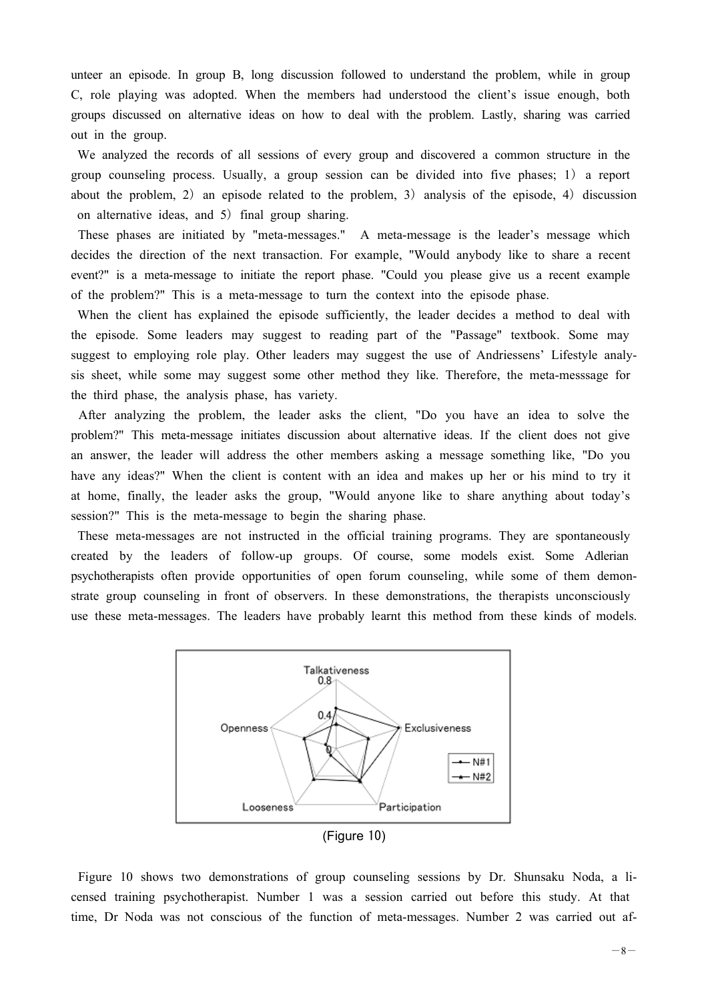unteer an episode. In group B, long discussion followed to understand the problem, while in group C, role playing was adopted. When the members had understood the client's issue enough, both groups discussed on alternative ideas on how to deal with the problem. Lastly, sharing was carried out in the group.

We analyzed the records of all sessions of every group and discovered a common structure in the group counseling process. Usually, a group session can be divided into five phases; 1) a report about the problem, 2) an episode related to the problem, 3) analysis of the episode, 4) discussion on alternative ideas, and 5) final group sharing.

These phases are initiated by "meta-messages." A meta-message is the leader's message which decides the direction of the next transaction. For example, "Would anybody like to share a recent event?" is a meta-message to initiate the report phase. "Could you please give us a recent example of the problem?" This is a meta-message to turn the context into the episode phase.

When the client has explained the episode sufficiently, the leader decides a method to deal with the episode. Some leaders may suggest to reading part of the "Passage" textbook. Some may suggest to employing role play. Other leaders may suggest the use of Andriessens' Lifestyle analysis sheet, while some may suggest some other method they like. Therefore, the meta-messsage for the third phase, the analysis phase, has variety.

After analyzing the problem, the leader asks the client, "Do you have an idea to solve the problem?" This meta-message initiates discussion about alternative ideas. If the client does not give an answer, the leader will address the other members asking a message something like, "Do you have any ideas?" When the client is content with an idea and makes up her or his mind to try it at home, finally, the leader asks the group, "Would anyone like to share anything about today's session?" This is the meta-message to begin the sharing phase.

These meta-messages are not instructed in the official training programs. They are spontaneously created by the leaders of follow-up groups. Of course, some models exist. Some Adlerian psychotherapists often provide opportunities of open forum counseling, while some of them demonstrate group counseling in front of observers. In these demonstrations, the therapists unconsciously use these meta-messages. The leaders have probably learnt this method from these kinds of models.



Figure 10 shows two demonstrations of group counseling sessions by Dr. Shunsaku Noda, a licensed training psychotherapist. Number 1 was a session carried out before this study. At that time, Dr Noda was not conscious of the function of meta-messages. Number 2 was carried out af-